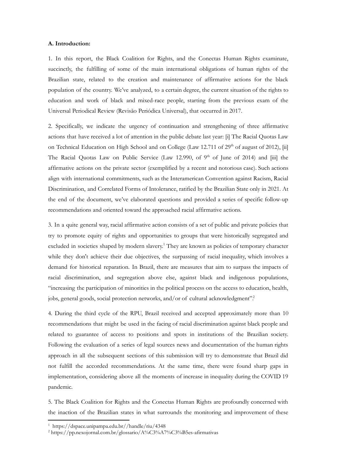# **A. Introduction:**

1. In this report, the Black Coalition for Rights, and the Conectas Human Rights examinate, succinctly, the fulfilling of some of the main international obligations of human rights of the Brazilian state, related to the creation and maintenance of affirmative actions for the black population of the country. We've analyzed, to a certain degree, the current situation of the rights to education and work of black and mixed-race people, starting from the previous exam of the Universal Periodical Review (Revisão Periódica Universal), that occurred in 2017.

2. Specifically, we indicate the urgency of continuation and strengthening of three affirmative actions that have received a lot of attention in the public debate last year: [i] The Racial Quotas Law on Technical Education on High School and on College (Law 12.711 of 29<sup>th</sup> of august of 2012), [ii] The Racial Quotas Law on Public Service (Law 12.990, of 9<sup>th</sup> of June of 2014) and [iii] the affirmative actions on the private sector (exemplified by a recent and notorious case). Such actions align with international commitments, such as the Interamerican Convention against Racism, Racial Discrimination, and Correlated Forms of Intolerance, ratified by the Brazilian State only in 2021. At the end of the document, we've elaborated questions and provided a series of specific follow-up recommendations and oriented toward the approached racial affirmative actions.

3. In a quite general way, racial affirmative action consists of a set of public and private policies that try to promote equity of rights and opportunities to groups that were historically segregated and excluded in societies shaped by modern slavery.<sup>1</sup> They are known as policies of temporary character while they don't achieve their due objectives, the surpassing of racial inequality, which involves a demand for historical reparation. In Brazil, there are measures that aim to surpass the impacts of racial discrimination, and segregation above else, against black and indigenous populations, "increasing the participation of minorities in the political process on the access to education, health, jobs, general goods, social protection networks, and/or of cultural acknowledgment".<sup>2</sup>

4. During the third cycle of the RPU, Brazil received and accepted approximately more than 10 recommendations that might be used in the facing of racial discrimination against black people and related to guarantee of access to positions and spots in institutions of the Brazilian society. Following the evaluation of a series of legal sources news and documentation of the human rights approach in all the subsequent sections of this submission will try to demonstrate that Brazil did not fulfill the accorded recommendations. At the same time, there were found sharp gaps in implementation, considering above all the moments of increase in inequality during the COVID 19 pandemic.

5. The Black Coalition for Rights and the Conectas Human Rights are profoundly concerned with the inaction of the Brazilian states in what surrounds the monitoring and improvement of these

<sup>1</sup> https://dspace.unipampa.edu.br//handle/riu/4348

<sup>2</sup> https://pp.nexojornal.com.br/glossario/A%C3%A7%C3%B5es-afirmativas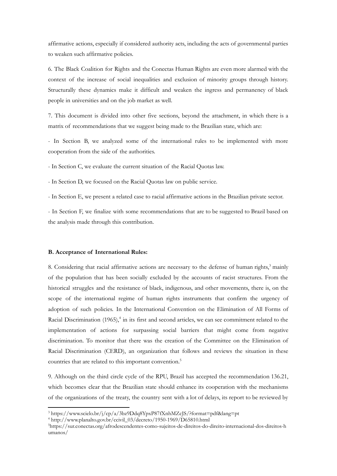affirmative actions, especially if considered authority acts, including the acts of governmental parties to weaken such affirmative policies.

6. The Black Coalition for Rights and the Conectas Human Rights are even more alarmed with the context of the increase of social inequalities and exclusion of minority groups through history. Structurally these dynamics make it difficult and weaken the ingress and permanency of black people in universities and on the job market as well.

7. This document is divided into other five sections, beyond the attachment, in which there is a matrix of recommendations that we suggest being made to the Brazilian state, which are:

- In Section B, we analyzed some of the international rules to be implemented with more cooperation from the side of the authorities.

- In Section C, we evaluate the current situation of the Racial Quotas law.

- In Section D, we focused on the Racial Quotas law on public service.

- In Section E, we present a related case to racial affirmative actions in the Brazilian private sector.

- In Section F, we finalize with some recommendations that are to be suggested to Brazil based on the analysis made through this contribution.

## **B. Acceptance of International Rules:**

8. Considering that racial affirmative actions are necessary to the defense of human rights, <sup>3</sup> mainly of the population that has been socially excluded by the accounts of racist structures. From the historical struggles and the resistance of black, indigenous, and other movements, there is, on the scope of the international regime of human rights instruments that confirm the urgency of adoption of such policies. In the International Convention on the Elimination of All Forms of Racial Discrimination (1965),<sup>4</sup> in its first and second articles, we can see commitment related to the implementation of actions for surpassing social barriers that might come from negative discrimination. To monitor that there was the creation of the Committee on the Elimination of Racial Discrimination (CERD), an organization that follows and reviews the situation in these countries that are related to this important convention. 5

9. Although on the third circle cycle of the RPU, Brazil has accepted the recommendation 136.21, which becomes clear that the Brazilian state should enhance its cooperation with the mechanisms of the organizations of the treaty, the country sent with a lot of delays, its report to be reviewed by

<sup>3</sup> https://www.scielo.br/j/cp/a/3bz9Ddq8YpxP87fXnhMZcJS/?format=pdf&lang=pt

<sup>4</sup> http://www.planalto.gov.br/ccivil\_03/decreto/1950-1969/D65810.html

<sup>5</sup>https://sur.conectas.org/afrodescendentes-como-sujeitos-de-direitos-do-direito-internacional-dos-direitos-h umanos/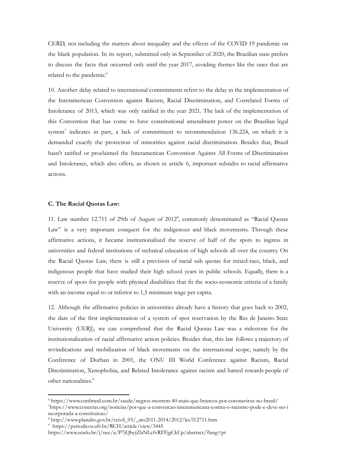CERD, not including the matters about inequality and the effects of the COVID 19 pandemic on the black population. In its report, submitted only in September of 2020, the Brazilian state prefers to discuss the facts that occurred only until the year 2017, avoiding themes like the ones that are related to the pandemic. 6

10. Another delay related to international commitments refers to the delay in the implementation of the Interamerican Convention against Racism, Racial Discrimination, and Correlated Forms of Intolerance of 2013, which was only ratified in the year 2021. The lack of the implementation of this Convention that has come to have constitutional amendment power on the Brazilian legal system<sup>7</sup> indicates in part, a lack of commitment to recommendation 136.224, on which it is demanded exactly the protection of minorities against racial discrimination. Besides that, Brazil hasn't ratified or proclaimed the Interamerican Convention Against All Forms of Discrimination and Intolerance, which also offers, as shown in article 6, important subsides to racial affirmative actions.

### **C. The Racial Quotas Law:**

11. Law number 12.711 of 29th of August of 2012 8 , commonly denominated as "Racial Quotas Law" is a very important conquest for the indigenous and black movements. Through these affirmative actions, it became institutionalized the reserve of half of the spots to ingress in universities and federal institutions of technical education of high schools all over the country. On the Racial Quotas Law, there is still a prevision of racial sub quotas for mixed-race, black, and indigenous people that have studied their high school years in public schools. Equally, there is a reserve of spots for people with physical disabilities that fit the socio-economic criteria of a family with an income equal to or inferior to 1,5 minimum wage per capita.

12. Although the affirmative policies in universities already have a history that goes back to 2002, the date of the first implementation of a system of spot reservation by the Rio de Janeiro State University (UERJ), we can comprehend that the Racial Quotas Law was a milestone for the institutionalization of racial affirmative action policies. Besides that, this law follows a trajectory of revindications and mobilization of black movements on the international scope, namely by the Conference of Durban in 2001, the ONU III World Conference against Racism, Racial Discrimination, Xenophobia, and Related Intolerance against racism and hatred towards people of other nationalities. 9

<sup>7</sup>https://www.conectas.org/noticias/por-que-a-convencao-interamericana-contra-o-racismo-pode-e-deve-ser-i <sup>6</sup> https://www.cnnbrasil.com.br/saude/negros-morrem-40-mais-que-brancos-por-coronavirus-no-brasil/

ncorporada-a-constituicao/

 $8 \text{ http://www.planalto.gov.br/ccivil_03/_ato2011-2014/2012/lei/l12711.htm}$ 

<sup>9</sup> https://periodicos.ufv.br/RCH/article/view/3445

https://www.scielo.br/j/nec/a/P7jQbyjZbNLcfvRFFjgCkCp/abstract/?lang=pt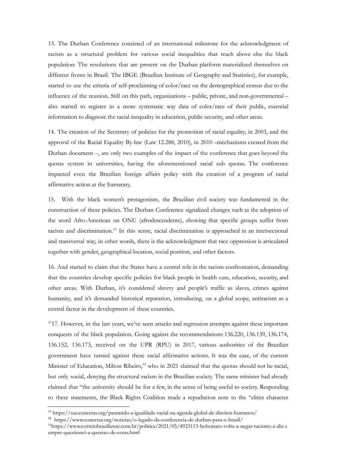13. The Durban Conference consisted of an international milestone for the acknowledgment of racism as a structural problem for various social inequalities that reach above else the black population: The resolutions that are present on the Durban platform materialized themselves on different fronts in Brazil. The IBGE (Brazilian Institute of Geography and Statistics), for example, started to use the criteria of self-proclaiming of color/race on the demographical census due to the influence of the reunion. Still on this path, organizations – public, private, and non-governmental – also started to register in a more systematic way data of color/race of their public, essential information to diagnose the racial inequality in education, public security, and other areas.

14. The creation of the Secretary of policies for the promotion of racial equality, in 2003, and the approval of the Racial Equality By-law (Law 12.288, 2010), in 2010 –mechanisms created from the Durban document –, are only two examples of the impact of the conference that goes beyond the quotas system in universities, having the aforementioned racial sub quotas. The conference impacted even the Brazilian foreign affairs policy with the creation of a program of racial affirmative action at the Itamaraty.

15. With the black women's protagonism, the Brazilian civil society was fundamental in the construction of these policies. The Durban Conference signalized changes such as the adoption of the word Afro-American on ONU (afrodescendente), showing that specific groups suffer from racism and discrimination.<sup>10</sup> In this sense, racial discrimination is approached in an intersectional and transversal way, in other words, there is the acknowledgment that race oppression is articulated together with gender, geographical location, social position, and other factors.

16. And started to claim that the States have a central role in the racism confrontation, demanding that the countries develop specific policies for black people in health care, education, security, and other areas. With Durban, it's considered slavery and people's traffic as slaves, crimes against humanity, and it's demanded historical reparation, introducing, on a global scope, antiracism as a central factor in the development of these countries.

<sup>11</sup>17. However, in the last years, we've seen attacks and regression attempts against these important conquests of the black population. Going against the recommendations 136.220, 136.139, 136.174, 136.152, 136.173, received on the UPR (RPU) in 2017, various authorities of the Brazilian government have turned against these racial affirmative actions. It was the case, of the current Minister of Education, Milton Ribeiro,<sup>12</sup> who in 2021 claimed that the quotas should not be racial, but only social, denying the structural racism in the Brazilian society. The same minister had already claimed that "the university should be for a few, in the sense of being useful to society. Responding to these statements, the Black Rights Coalition made a repudiation note to the "elitist character

<sup>10</sup> https://sur.conectas.org/pautando-a-igualdade-racial-na-agenda-global-de-direitos-humanos/

<sup>11</sup> https://www.conectas.org/noticias/o-legado-da-conferencia-de-durban-para-o-brasil/

<sup>12</sup>https://www.correiobraziliense.com.br/politica/2021/05/4923113-bolsonaro-volta-a-negar-racismo-e-diz-s empre-questionei-a-questao-de-cotas.html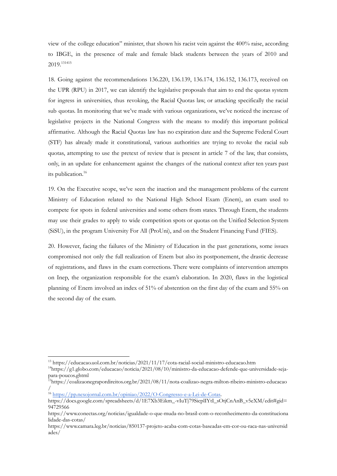view of the college education" minister, that shown his racist vein against the 400% raise, according to IBGE, in the presence of male and female black students between the years of 2010 and 2019. 131415

18. Going against the recommendations 136.220, 136.139, 136.174, 136.152, 136.173, received on the UPR (RPU) in 2017, we can identify the legislative proposals that aim to end the quotas system for ingress in universities, thus revoking, the Racial Quotas law, or attacking specifically the racial sub quotas. In monitoring that we've made with various organizations, we've noticed the increase of legislative projects in the National Congress with the means to modify this important political affirmative. Although the Racial Quotas law has no expiration date and the Supreme Federal Court (STF) has already made it constitutional, various authorities are trying to revoke the racial sub quotas, attempting to use the pretext of review that is present in article 7 of the law, that consists, only, in an update for enhancement against the changes of the national context after ten years past its publication. 16

19. On the Executive scope, we've seen the inaction and the management problems of the current Ministry of Education related to the National High School Exam (Enem), an exam used to compete for spots in federal universities and some others from states. Through Enem, the students may use their grades to apply to wide competition spots or quotas on the Unified Selection System (SiSU), in the program University For All (ProUni), and on the Student Financing Fund (FIES).

20. However, facing the failures of the Ministry of Education in the past generations, some issues compromised not only the full realization of Enem but also its postponement, the drastic decrease of registrations, and flaws in the exam corrections. There were complaints of intervention attempts on Inep, the organization responsible for the exam's elaboration. In 2020, flaws in the logistical planning of Enem involved an index of 51% of abstention on the first day of the exam and 55% on the second day of the exam.

<sup>13</sup> https://educacao.uol.com.br/noticias/2021/11/17/cota-racial-social-ministro-educacao.htm

<sup>14</sup>https://g1.globo.com/educacao/noticia/2021/08/10/ministro-da-educacao-defende-que-universidade-sejapara-poucos.ghtml

<sup>15</sup>https://coalizaonegrapordireitos.org.br/2021/08/11/nota-coalizao-negra-milton-ribeiro-ministro-educacao /

<sup>&</sup>lt;sup>16</sup> <https://pp.nexojornal.com.br/opiniao/2022/O-Congresso-e-a-Lei-de-Cotas>.

https://docs.google.com/spreadsheets/d/1E7Xb3Eikm\_-vIuTj79SicplIYtI\_sOtjCnAnB\_v5eXM/edit#gid= 94729566

https://www.conectas.org/noticias/igualdade-o-que-muda-no-brasil-com-o-reconhecimento-da-constituciona lidade-das-cotas/

https://www.camara.leg.br/noticias/850137-projeto-acaba-com-cotas-baseadas-em-cor-ou-raca-nas-universid ades/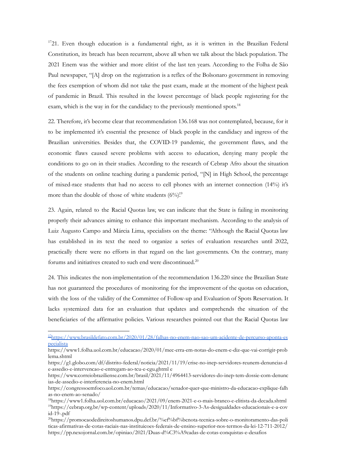$1721$ . Even though education is a fundamental right, as it is written in the Brazilian Federal Constitution, its breach has been recurrent, above all when we talk about the black population. The 2021 Enem was the withier and more elitist of the last ten years. According to the Folha de São Paul newspaper, "[A] drop on the registration is a reflex of the Bolsonaro government in removing the fees exemption of whom did not take the past exam, made at the moment of the highest peak of pandemic in Brazil. This resulted in the lowest percentage of black people registering for the exam, which is the way in for the candidacy to the previously mentioned spots.<sup>18</sup>

22. Therefore, it's become clear that recommendation 136.168 was not contemplated, because, for it to be implemented it's essential the presence of black people in the candidacy and ingress of the Brazilian universities. Besides that, the COVID-19 pandemic, the government flaws, and the economic flaws caused severe problems with access to education, denying many people the conditions to go on in their studies. According to the research of Cebrap Afro about the situation of the students on online teaching during a pandemic period, "[N] in High School, the percentage of mixed-race students that had no access to cell phones with an internet connection (14%) it's more than the double of those of white students  $(6\%)$ <sup>19</sup>

23. Again, related to the Racial Quotas law, we can indicate that the State is failing in monitoring properly their advances aiming to enhance this important mechanism. According to the analysis of Luiz Augusto Campo and Márcia Lima, specialists on the theme: "Although the Racial Quotas law has established in its text the need to organize a series of evaluation researches until 2022, practically there were no efforts in that regard on the last governments. On the contrary, many forums and initiatives created to such end were discontinued. 20

24. This indicates the non-implementation of the recommendation 136.220 since the Brazilian State has not guaranteed the procedures of monitoring for the improvement of the quotas on education, with the loss of the validity of the Committee of Follow-up and Evaluation of Spots Reservation. It lacks systemized data for an evaluation that updates and comprehends the situation of the beneficiaries of the affirmative policies. Various researches pointed out that the Racial Quotas law

<sup>17</sup>[https://www.brasildefato.com.br/2020/01/28/falhas-no-enem-nao-sao-um-acidente-de-percurso-aponta-es](https://www.brasildefato.com.br/2020/01/28/falhas-no-enem-nao-sao-um-acidente-de-percurso-aponta-especialista) [pecialista](https://www.brasildefato.com.br/2020/01/28/falhas-no-enem-nao-sao-um-acidente-de-percurso-aponta-especialista)

https://www1.folha.uol.com.br/educacao/2020/01/mec-erra-em-notas-do-enem-e-diz-que-vai-corrigir-prob lema.shtml

https://g1.globo.com/df/distrito-federal/noticia/2021/11/19/crise-no-inep-servidores-reunem-denuncias-d e-assedio-e-intervencao-e-entregam-ao-tcu-e-cgu.ghtml e

https://www.correiobraziliense.com.br/brasil/2021/11/4964413-servidores-do-inep-tem-dossie-com-denunc ias-de-assedio-e-interferencia-no-enem.html

https://congressoemfoco.uol.com.br/temas/educacao/senador-quer-que-ministro-da-educacao-explique-falh as-no-enem-ao-senado/

<sup>19</sup>https://cebrap.org.br/wp-content/uploads/2020/11/Informativo-3-As-desigualdades-educacionais-e-a-cov id-19-.pdf <sup>18</sup>https://www1.folha.uol.com.br/educacao/2021/09/enem-2021-e-o-mais-branco-e-elitista-da-decada.shtml

<sup>20</sup>https://promocaodedireitoshumanos.dpu.def.br/%ef%bf%bcnota-tecnica-sobre-o-monitoramento-das-poli ticas-afirmativas-de-cotas-raciais-nas-instituicoes-federais-de-ensino-superior-nos-termos-da-lei-12-711-2012/ https://pp.nexojornal.com.br/opiniao/2021/Duas-d%C3%A9cadas-de-cotas-conquistas-e-desafios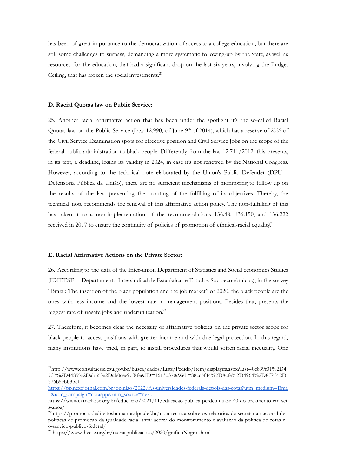has been of great importance to the democratization of access to a college education, but there are still some challenges to surpass, demanding a more systematic following-up by the State, as well as resources for the education, that had a significant drop on the last six years, involving the Budget Ceiling, that has frozen the social investments. 21

# **D. Racial Quotas law on Public Service:**

25. Another racial affirmative action that has been under the spotlight it's the so-called Racial Quotas law on the Public Service (Law 12.990, of June 9<sup>th</sup> of 2014), which has a reserve of 20% of the Civil Service Examination spots for effective position and Civil Service Jobs on the scope of the federal public administration to black people. Differently from the law 12.711/2012, this presents, in its text, a deadline, losing its validity in 2024, in case it's not renewed by the National Congress. However, according to the technical note elaborated by the Union's Public Defender (DPU – Defensoria Pública da União), there are no sufficient mechanisms of monitoring to follow up on the results of the law, preventing the scouting of the fulfilling of its objectives. Thereby, the technical note recommends the renewal of this affirmative action policy. The non-fulfilling of this has taken it to a non-implementation of the recommendations 136.48, 136.150, and 136.222 received in 2017 to ensure the continuity of policies of promotion of ethnical-racial equality?

#### **E. Racial Affirmative Actions on the Private Sector:**

26. According to the data of the Inter-union Department of Statistics and Social economics Studies (IDIEESE – Departamento Intersindical de Estatísticas e Estudos Socioeconômicos), in the survey "Brazil: The insertion of the black population and the job market" of 2020, the black people are the ones with less income and the lowest rate in management positions. Besides that, presents the biggest rate of unsafe jobs and underutilization. 23

27. Therefore, it becomes clear the necessity of affirmative policies on the private sector scope for black people to access positions with greater income and with due legal protection. In this regard, many institutions have tried, in part, to install procedures that would soften racial inequality. One

<sup>21</sup>http://www.consultaesic.cgu.gov.br/busca/dados/Lists/Pedido/Item/displayifs.aspx?List=0c839f31%2D4 7d7%2D4485%2Dab65%2Dab0cee9cf8fe&ID=1613037&Web=88cc5f44%2D8cfe%2D4964%2D8ff4%2D 376b5ebb3bef

[https://pp.nexojornal.com.br/opiniao/2022/As-universidades-federais-depois-das-cotas?utm\\_medium=Ema](https://pp.nexojornal.com.br/opiniao/2022/As-universidades-federais-depois-das-cotas?utm_medium=Email&utm_campaign=cotaspp&utm_source=nexo) [il&utm\\_campaign=cotaspp&utm\\_source=nexo](https://pp.nexojornal.com.br/opiniao/2022/As-universidades-federais-depois-das-cotas?utm_medium=Email&utm_campaign=cotaspp&utm_source=nexo)

https://www.extraclasse.org.br/educacao/2021/11/educacao-publica-perdeu-quase-40-do-orcamento-em-sei s-anos/

<sup>22</sup>https://promocaodedireitoshumanos.dpu.def.br/nota-tecnica-sobre-os-relatorios-da-secretaria-nacional-depoliticas-de-promocao-da-igualdade-racial-snpir-acerca-do-monitoramento-e-avaliacao-da-politica-de-cotas-n o-servico-publico-federal/

<sup>23</sup> https://www.dieese.org.br/outraspublicacoes/2020/graficoNegros.html